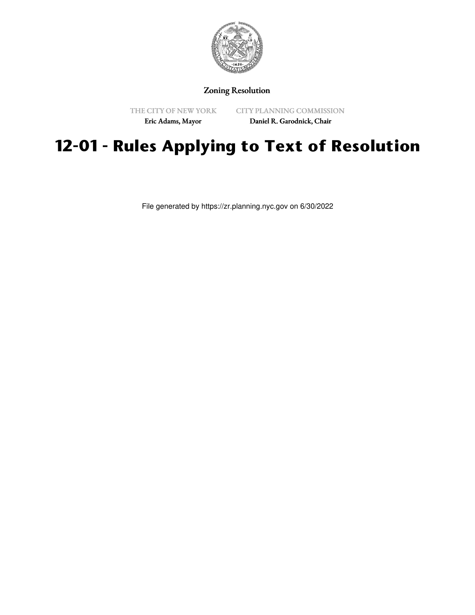

## Zoning Resolution

THE CITY OF NEW YORK

CITY PLANNING COMMISSION

Eric Adams, Mayor

Daniel R. Garodnick, Chair

## **12-01 - Rules Applying to Text of Resolution**

File generated by https://zr.planning.nyc.gov on 6/30/2022